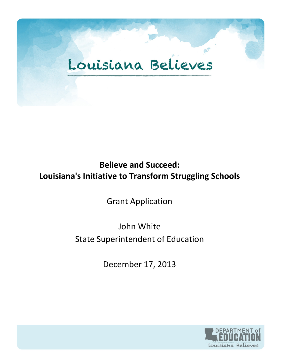## Louisiana Believes

## **Believe and Succeed: Louisiana's Initiative to Transform Struggling Schools**

Grant Application

## John White State Superintendent of Education

December 17, 2013

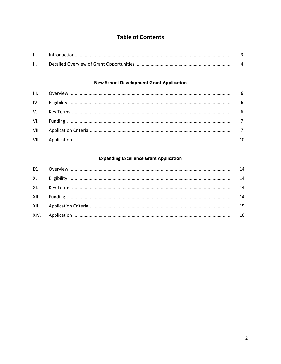## **Table of Contents**

#### **New School Development Grant Application**

#### **Expanding Excellence Grant Application**

|  | 14 |
|--|----|
|  | 14 |
|  | 14 |
|  | 14 |
|  |    |
|  | 16 |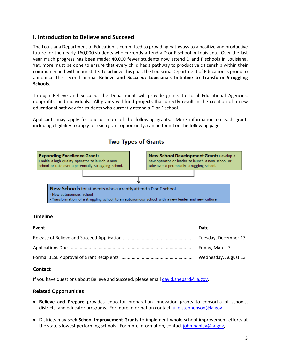#### **I. Introduction to Believe and Succeed**

The Louisiana Department of Education is committed to providing pathways to a positive and productive future for the nearly 160,000 students who currently attend a D or F school in Louisiana. Over the last year much progress has been made; 40,000 fewer students now attend D and F schools in Louisiana. Yet, more must be done to ensure that every child has a pathway to productive citizenship within their community and within our state. To achieve this goal, the Louisiana Department of Education is proud to announce the second annual **Believe and Succeed: Louisiana's Initiative to Transform Struggling Schools.** 

Through Believe and Succeed, the Department will provide grants to Local Educational Agencies, nonprofits, and individuals. All grants will fund projects that directly result in the creation of a new educational pathway for students who currently attend a D or F school.

Applicants may apply for one or more of the following grants. More information on each grant, including eligibility to apply for each grant opportunity, can be found on the following page.



### **Two Types of Grants**

#### **Timeline**

| Event | Date                 |
|-------|----------------------|
|       | Tuesday, December 17 |
|       | Friday, March 7      |
|       | Wednesday, August 13 |

#### **Contact**

If you have questions about Believe and Succeed, please email [david.shepard@la.gov.](mailto:david.shepard@la.gov)

#### **Related Opportunities**

- **Believe and Prepare** provides educator preparation innovation grants to consortia of schools, districts, and educator programs. For more information contact [julie.stephenson@la.gov.](mailto:julie.stephenson@la.gov)
- Districts may seek **School Improvement Grants** to implement whole school improvement efforts at the state's lowest performing schools. For more information, contac[t john.hanley@la.gov.](mailto:john.hanley@la.gov)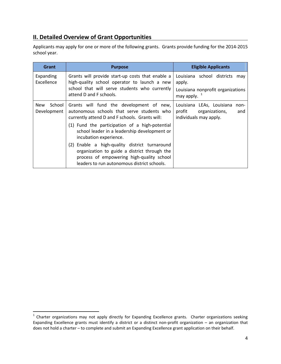### **II. Detailed Overview of Grant Opportunities**

Applicants may apply for one or more of the following grants. Grants provide funding for the 2014-2015 school year.

| Grant                               | <b>Purpose</b>                                                                                                                                                                                                                                                                                                                                                                                                                                                    | <b>Eligible Applicants</b>                                                                         |  |  |
|-------------------------------------|-------------------------------------------------------------------------------------------------------------------------------------------------------------------------------------------------------------------------------------------------------------------------------------------------------------------------------------------------------------------------------------------------------------------------------------------------------------------|----------------------------------------------------------------------------------------------------|--|--|
| Expanding<br>Excellence             | Grants will provide start-up costs that enable a<br>high-quality school operator to launch a new<br>school that will serve students who currently<br>attend D and F schools.                                                                                                                                                                                                                                                                                      | Louisiana school districts<br>may<br>apply.<br>Louisiana nonprofit organizations<br>may apply. $1$ |  |  |
| School<br><b>New</b><br>Development | Grants will fund the development of new,<br>autonomous schools that serve students who<br>currently attend D and F schools. Grants will:<br>(1) Fund the participation of a high-potential<br>school leader in a leadership development or<br>incubation experience.<br>(2) Enable a high-quality district turnaround<br>organization to guide a district through the<br>process of empowering high-quality school<br>leaders to run autonomous district schools. | Louisiana LEAs, Louisiana<br>non-<br>profit<br>organizations,<br>and<br>individuals may apply.     |  |  |

<span id="page-3-0"></span> $1$  Charter organizations may not apply directly for Expanding Excellence grants. Charter organizations seeking Expanding Excellence grants must identify a district or a distinct non-profit organization – an organization that does not hold a charter – to complete and submit an Expanding Excellence grant application on their behalf.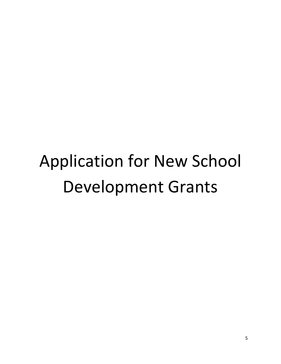# Application for New School Development Grants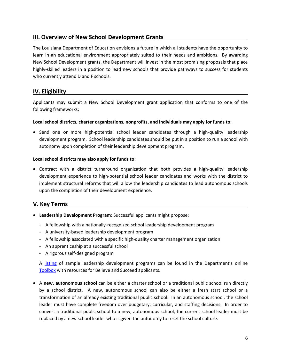#### **III. Overview of New School Development Grants**

The Louisiana Department of Education envisions a future in which all students have the opportunity to learn in an educational environment appropriately suited to their needs and ambitions. By awarding New School Development grants, the Department will invest in the most promising proposals that place highly-skilled leaders in a position to lead new schools that provide pathways to success for students who currently attend D and F schools.

#### **IV. Eligibility**

Applicants may submit a New School Development grant application that conforms to one of the following frameworks:

#### **Local school districts, charter organizations, nonprofits, and individuals may apply for funds to:**

• Send one or more high-potential school leader candidates through a high-quality leadership development program. School leadership candidates should be put in a position to run a school with autonomy upon completion of their leadership development program.

#### **Local school districts may also apply for funds to:**

• Contract with a district turnaround organization that both provides a high-quality leadership development experience to high-potential school leader candidates and works with the district to implement structural reforms that will allow the leadership candidates to lead autonomous schools upon the completion of their development experience.

#### **V. Key Terms**

- **Leadership Development Program:** Successful applicants might propose:
	- A fellowship with a nationally-recognized school leadership development program
	- A university-based leadership development program
	- A fellowship associated with a specific high-quality charter management organization
	- An apprenticeship at a successful school
	- A rigorous self-designed program

A [listing](http://www.louisianabelieves.com/docs/call-to-action-toolbox/listing-of-potential-leadership-development-opportunities.pdf?sfvrsn=0) of sample leadership development programs can be found in the Department's online [Toolbox](http://www.louisianabelieves.com/schools/louisiana) with resources for Believe and Succeed applicants.

• A **new, autonomous school** can be either a charter school or a traditional public school run directly by a school district. A new, autonomous school can also be either a fresh start school or a transformation of an already existing traditional public school. In an autonomous school, the school leader must have complete freedom over budgetary, curricular, and staffing decisions. In order to convert a traditional public school to a new, autonomous school, the current school leader must be replaced by a new school leader who is given the autonomy to reset the school culture.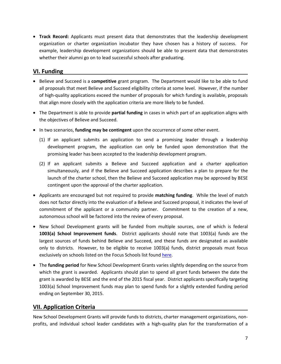• **Track Record:** Applicants must present data that demonstrates that the leadership development organization or charter organization incubator they have chosen has a history of success. For example, leadership development organizations should be able to present data that demonstrates whether their alumni go on to lead successful schools after graduating.

#### **VI. Funding**

- Believe and Succeed is a **competitive** grant program. The Department would like to be able to fund all proposals that meet Believe and Succeed eligibility criteria at some level. However, if the number of high-quality applications exceed the number of proposals for which funding is available, proposals that align more closely with the application criteria are more likely to be funded.
- The Department is able to provide **partial funding** in cases in which part of an application aligns with the objectives of Believe and Succeed.
- In two scenarios, **funding may be contingent** upon the occurrence of some other event.
	- (1) If an applicant submits an application to send a promising leader through a leadership development program, the application can only be funded upon demonstration that the promising leader has been accepted to the leadership development program.
	- (2) If an applicant submits a Believe and Succeed application and a charter application simultaneously, and if the Believe and Succeed application describes a plan to prepare for the launch of the charter school, then the Believe and Succeed application may be approved by BESE contingent upon the approval of the charter application.
- Applicants are encouraged but not required to provide **matching funding**. While the level of match does not factor directly into the evaluation of a Believe and Succeed proposal, it indicates the level of commitment of the applicant or a community partner. Commitment to the creation of a new, autonomous school will be factored into the review of every proposal.
- New School Development grants will be funded from multiple sources, one of which is federal **1003(a) School Improvement funds**. District applicants should note that 1003(a) funds are the largest sources of funds behind Believe and Succeed, and these funds are designated as available only to districts. However, to be eligible to receive 1003(a) funds, district proposals must focus exclusively on schools listed on the Focus Schools list found [here.](http://www.louisianabelieves.com/docs/school-choice/2012-2013-focus-schools.xlsx?sfvrsn=2)
- The **funding period** for New School Development Grants varies slightly depending on the source from which the grant is awarded. Applicants should plan to spend all grant funds between the date the grant is awarded by BESE and the end of the 2015 fiscal year. District applicants specifically targeting 1003(a) School Improvement funds may plan to spend funds for a slightly extended funding period ending on September 30, 2015.

#### **VII. Application Criteria**

New School Development Grants will provide funds to districts, charter management organizations, nonprofits, and individual school leader candidates with a high-quality plan for the transformation of a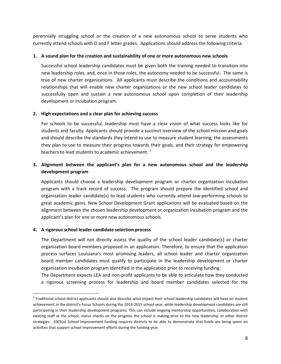perennially struggling school or the creation of a new autonomous school to serve students who currently attend schools with D and F letter grades. Applications should address the following criteria.

#### **1. A sound plan for the creation and sustainability of one or more autonomous new schools**

Successful school leadership candidates must be given both the training needed to transition into new leadership roles, and, once in those roles, the autonomy needed to be successful. The same is true of new charter organizations. All applicants must describe the conditions and accountability relationships that will enable new charter organizations or the new school leader candidates to successfully open and sustain a new autonomous school upon completion of their leadership development or incubation program.

#### **2. High expectations and a clear plan for achieving success**

For schools to be successful, leadership must have a clear vision of what success looks like for students and faculty. Applicants should provide a succinct overview of the school mission and goals and should describe the standards they intend to use to measure student learning, the assessments they plan to use to measure their progress towards their goals, and their strategy for empowering teachers to lead students to academic achievement.<sup>[2](#page-7-0)</sup>

#### **3. Alignment between the applicant's plan for a new autonomous school and the leadership development program**

Applicants should choose a leadership development program or charter organization incubation program with a track record of success. The program should prepare the identified school and organization leader candidate(s) to lead students who currently attend low-performing schools to great academic gains. New School Development Grant applications will be evaluated based on the alignment between the chosen leadership development or organization incubation program and the applicant's plan for one or more new autonomous schools.

#### **4. A rigorous school leader candidate selection process**

The Department will not directly assess the quality of the school leader candidate(s) or charter organization board members proposed in an application. Therefore, to ensure that the application process surfaces Louisiana's most promising leaders, all school leader and charter organization board member candidates must qualify to participate in the leadership development or charter organization incubation program identified in the application prior to receiving funding.

The Department expects LEA and non-profit applicants to be able to articulate how they conducted a rigorous screening process for leadership and board member candidates selected for the

<span id="page-7-0"></span> $2$  Traditional school district applicants should also describe what impact their school leadership candidates will have on student achievement in the district's Focus Schools during the 2014-2015 school year, while leadership development candidates are still participating in their leadership development programs. This can include ongoing mentorship opportunities, collaboration with existing staff at the school, status checks on the progress the school is making prior to the new leadership, or other district strategies. 1003(a) School Improvement funding requires districts to be able to demonstrate that funds are being spent on activities that support school improvement efforts during the funding year.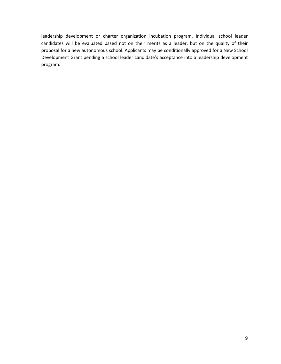leadership development or charter organization incubation program. Individual school leader candidates will be evaluated based not on their merits as a leader, but on the quality of their proposal for a new autonomous school. Applicants may be conditionally approved for a New School Development Grant pending a school leader candidate's acceptance into a leadership development program.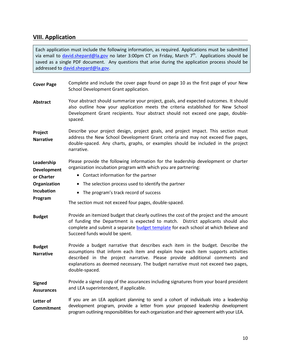#### **VIII. Application**

Each application must include the following information, as required. Applications must be submitted via email to [david.shepard@la.gov](mailto:LBFund@la.gov) no later 3:00pm CT on Friday, March 7<sup>th</sup>. Applications should be saved as a single PDF document. Any questions that arise during the application process should be addressed to [david.shepard@la.gov.](mailto:LBFund@la.gov)

| <b>Cover Page</b>                                                                | Complete and include the cover page found on page 10 as the first page of your New<br>School Development Grant application.                                                                                                                                                                                                                                |  |  |
|----------------------------------------------------------------------------------|------------------------------------------------------------------------------------------------------------------------------------------------------------------------------------------------------------------------------------------------------------------------------------------------------------------------------------------------------------|--|--|
| <b>Abstract</b>                                                                  | Your abstract should summarize your project, goals, and expected outcomes. It should<br>also outline how your application meets the criteria established for New School<br>Development Grant recipients. Your abstract should not exceed one page, double-<br>spaced.                                                                                      |  |  |
| Project<br><b>Narrative</b>                                                      | Describe your project design, project goals, and project impact. This section must<br>address the New School Development Grant criteria and may not exceed five pages,<br>double-spaced. Any charts, graphs, or examples should be included in the project<br>narrative.                                                                                   |  |  |
| Leadership<br>Development<br>or Charter<br>Organization<br>Incubation<br>Program | Please provide the following information for the leadership development or charter<br>organization incubation program with which you are partnering:<br>• Contact information for the partner<br>• The selection process used to identify the partner<br>• The program's track record of success<br>The section must not exceed four pages, double-spaced. |  |  |
| <b>Budget</b>                                                                    | Provide an itemized budget that clearly outlines the cost of the project and the amount<br>of funding the Department is expected to match. District applicants should also<br>complete and submit a separate budget template for each school at which Believe and<br>Succeed funds would be spent.                                                         |  |  |
| <b>Budget</b><br><b>Narrative</b>                                                | Provide a budget narrative that describes each item in the budget. Describe the<br>assumptions that inform each item and explain how each item supports activities<br>described in the project narrative. Please provide additional comments and<br>explanations as deemed necessary. The budget narrative must not exceed two pages,<br>double-spaced.    |  |  |
| <b>Signed</b><br><b>Assurances</b>                                               | Provide a signed copy of the assurances including signatures from your board president<br>and LEA superintendent, if applicable.                                                                                                                                                                                                                           |  |  |
| Letter of<br><b>Commitment</b>                                                   | If you are an LEA applicant planning to send a cohort of individuals into a leadership<br>development program, provide a letter from your proposed leadership development<br>program outlining responsibilities for each organization and their agreement with your LEA.                                                                                   |  |  |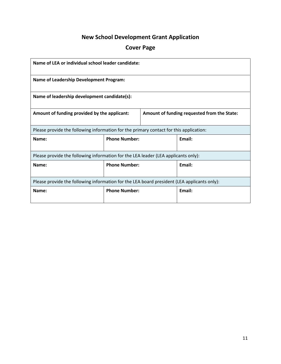## **New School Development Grant Application**

## **Cover Page**

| Name of LEA or individual school leader candidate:                                          |                      |                                             |        |  |
|---------------------------------------------------------------------------------------------|----------------------|---------------------------------------------|--------|--|
| <b>Name of Leadership Development Program:</b>                                              |                      |                                             |        |  |
| Name of leadership development candidate(s):                                                |                      |                                             |        |  |
| Amount of funding provided by the applicant:                                                |                      | Amount of funding requested from the State: |        |  |
| Please provide the following information for the primary contact for this application:      |                      |                                             |        |  |
| Name:                                                                                       | <b>Phone Number:</b> |                                             | Fmail: |  |
| Please provide the following information for the LEA leader (LEA applicants only):          |                      |                                             |        |  |
| Name:                                                                                       | <b>Phone Number:</b> |                                             | Email: |  |
| Please provide the following information for the LEA board president (LEA applicants only): |                      |                                             |        |  |
| Name:                                                                                       | <b>Phone Number:</b> |                                             | Email: |  |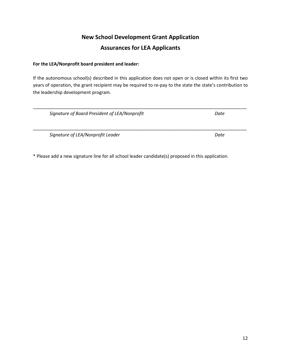## **New School Development Grant Application Assurances for LEA Applicants**

#### **For the LEA/Nonprofit board president and leader:**

If the autonomous school(s) described in this application does not open or is closed within its first two years of operation, the grant recipient may be required to re-pay to the state the state's contribution to the leadership development program.

| Signature of Board President of LEA/Nonprofit | Date |
|-----------------------------------------------|------|
|                                               |      |
|                                               |      |

*Signature of LEA/Nonprofit Leader Date*

\* Please add a new signature line for all school leader candidate(s) proposed in this application.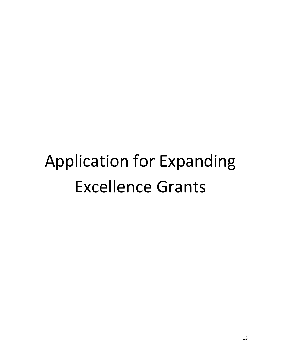# Application for Expanding Excellence Grants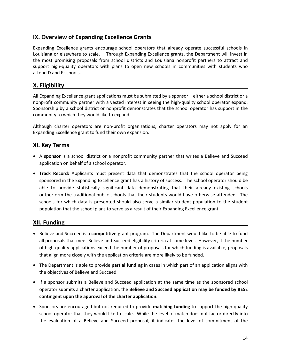#### **IX. Overview of Expanding Excellence Grants**

Expanding Excellence grants encourage school operators that already operate successful schools in Louisiana or elsewhere to scale. Through Expanding Excellence grants, the Department will invest in the most promising proposals from school districts and Louisiana nonprofit partners to attract and support high-quality operators with plans to open new schools in communities with students who attend D and F schools.

#### **X. Eligibility**

All Expanding Excellence grant applications must be submitted by a sponsor – either a school district or a nonprofit community partner with a vested interest in seeing the high-quality school operator expand. Sponsorship by a school district or nonprofit demonstrates that the school operator has support in the community to which they would like to expand.

Although charter operators are non-profit organizations, charter operators may not apply for an Expanding Excellence grant to fund their own expansion.

#### **XI. Key Terms**

- A **sponsor** is a school district or a nonprofit community partner that writes a Believe and Succeed application on behalf of a school operator.
- **Track Record:** Applicants must present data that demonstrates that the school operator being sponsored in the Expanding Excellence grant has a history of success. The school operator should be able to provide statistically significant data demonstrating that their already existing schools outperform the traditional public schools that their students would have otherwise attended. The schools for which data is presented should also serve a similar student population to the student population that the school plans to serve as a result of their Expanding Excellence grant.

#### **XII. Funding**

- Believe and Succeed is a **competitive** grant program. The Department would like to be able to fund all proposals that meet Believe and Succeed eligibility criteria at some level. However, if the number of high-quality applications exceed the number of proposals for which funding is available, proposals that align more closely with the application criteria are more likely to be funded.
- The Department is able to provide **partial funding** in cases in which part of an application aligns with the objectives of Believe and Succeed.
- If a sponsor submits a Believe and Succeed application at the same time as the sponsored school operator submits a charter application, the **Believe and Succeed application may be funded by BESE contingent upon the approval of the charter application**.
- Sponsors are encouraged but not required to provide **matching funding** to support the high-quality school operator that they would like to scale. While the level of match does not factor directly into the evaluation of a Believe and Succeed proposal, it indicates the level of commitment of the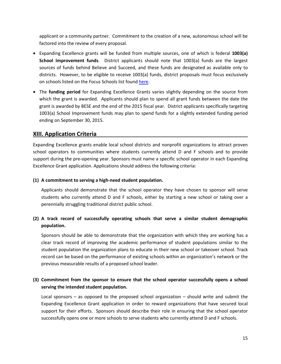applicant or a community partner. Commitment to the creation of a new, autonomous school will be factored into the review of every proposal.

- Expanding Excellence grants will be funded from multiple sources, one of which is federal **1003(a) School Improvement funds**. District applicants should note that 1003(a) funds are the largest sources of funds behind Believe and Succeed, and these funds are designated as available only to districts. However, to be eligible to receive 1003(a) funds, district proposals must focus exclusively on schools listed on the Focus Schools list foun[d here.](http://www.louisianabelieves.com/docs/school-choice/2012-2013-focus-schools.xlsx?sfvrsn=2)
- The **funding period** for Expanding Excellence Grants varies slightly depending on the source from which the grant is awarded. Applicants should plan to spend all grant funds between the date the grant is awarded by BESE and the end of the 2015 fiscal year. District applicants specifically targeting 1003(a) School Improvement funds may plan to spend funds for a slightly extended funding period ending on September 30, 2015.

#### **XIII. Application Criteria**

Expanding Excellence grants enable local school districts and nonprofit organizations to attract proven school operators to communities where students currently attend D and F schools and to provide support during the pre-opening year. Sponsors must name a specific school operator in each Expanding Excellence Grant application. Applications should address the following criteria:

#### **(1) A commitment to serving a high-need student population.**

Applicants should demonstrate that the school operator they have chosen to sponsor will serve students who currently attend D and F schools, either by starting a new school or taking over a perennially struggling traditional district public school.

#### **(2) A track record of successfully operating schools that serve a similar student demographic population.**

Sponsors should be able to demonstrate that the organization with which they are working has a clear track record of improving the academic performance of student populations similar to the student population the organization plans to educate in their new school or takeover school. Track record can be based on the performance of existing schools within an organization's network or the previous measurable results of a proposed school leader.

#### **(3) Commitment from the sponsor to ensure that the school operator successfully opens a school serving the intended student population.**

Local sponsors – as opposed to the proposed school organization – should write and submit the Expanding Excellence Grant application in order to reward organizations that have secured local support for their efforts. Sponsors should describe their role in ensuring that the school operator successfully opens one or more schools to serve students who currently attend D and F schools.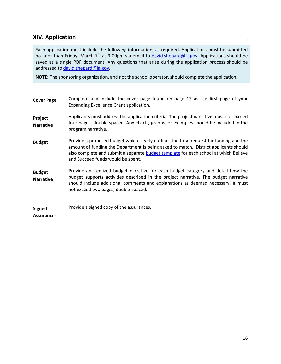#### **XIV. Application**

Each application must include the following information, as required. Applications must be submitted no later than Friday, March 7<sup>th</sup> at 3:00pm via email to [david.shepard@la.gov.](mailto:LBFund@la.gov) Applications should be saved as a single PDF document. Any questions that arise during the application process should be addressed to [david.shepard@la.gov.](mailto:LBFund@la.gov)

**NOTE:** The sponsoring organization, and not the school operator, should complete the application.

| <b>Cover Page</b>                  | Complete and include the cover page found on page 17 as the first page of your<br>Expanding Excellence Grant application.                                                                                                                                                                                   |
|------------------------------------|-------------------------------------------------------------------------------------------------------------------------------------------------------------------------------------------------------------------------------------------------------------------------------------------------------------|
| Project<br><b>Narrative</b>        | Applicants must address the application criteria. The project narrative must not exceed<br>four pages, double-spaced. Any charts, graphs, or examples should be included in the<br>program narrative.                                                                                                       |
| <b>Budget</b>                      | Provide a proposed budget which clearly outlines the total request for funding and the<br>amount of funding the Department is being asked to match. District applicants should<br>also complete and submit a separate budget template for each school at which Believe<br>and Succeed funds would be spent. |
| <b>Budget</b><br><b>Narrative</b>  | Provide an itemized budget narrative for each budget category and detail how the<br>budget supports activities described in the project narrative. The budget narrative<br>should include additional comments and explanations as deemed necessary. It must<br>not exceed two pages, double-spaced.         |
| <b>Signed</b><br><b>Assurances</b> | Provide a signed copy of the assurances.                                                                                                                                                                                                                                                                    |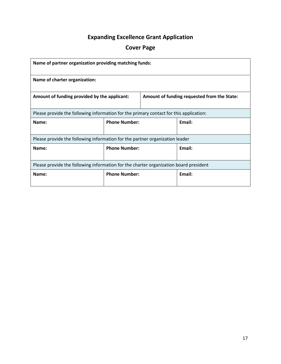## **Expanding Excellence Grant Application**

## **Cover Page**

| Name of partner organization providing matching funds:                                 |                      |                                             |        |  |
|----------------------------------------------------------------------------------------|----------------------|---------------------------------------------|--------|--|
| Name of charter organization:                                                          |                      |                                             |        |  |
| Amount of funding provided by the applicant:                                           |                      | Amount of funding requested from the State: |        |  |
| Please provide the following information for the primary contact for this application: |                      |                                             |        |  |
| Name:                                                                                  | <b>Phone Number:</b> |                                             | Email: |  |
| Please provide the following information for the partner organization leader           |                      |                                             |        |  |
| Name:                                                                                  | <b>Phone Number:</b> |                                             | Email: |  |
| Please provide the following information for the charter organization board president  |                      |                                             |        |  |
| Name:                                                                                  | <b>Phone Number:</b> |                                             | Email: |  |